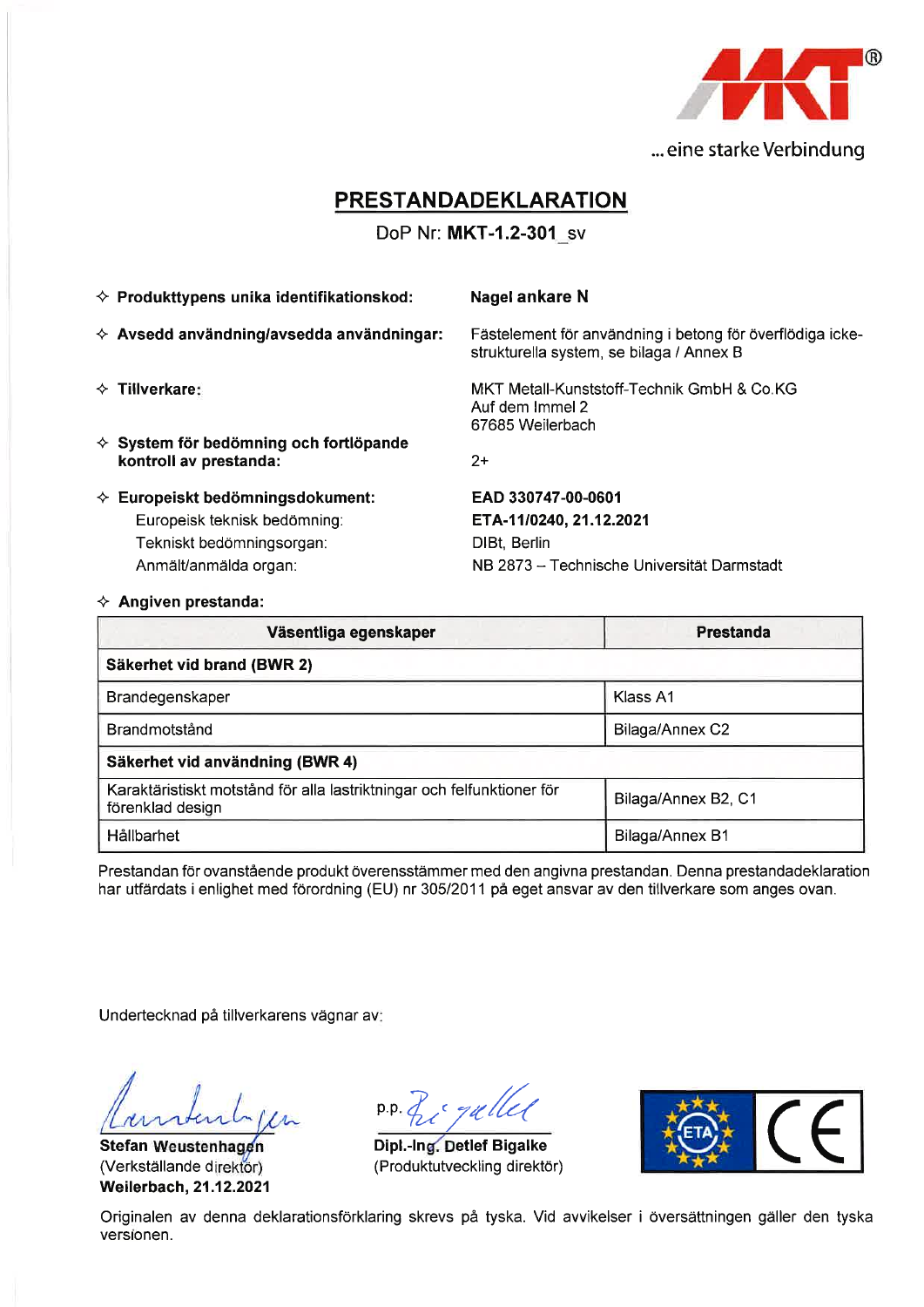

# **PRESTANDADEKLARATION**

### DoP Nr: MKT-1.2-301 sv

|                                                                                    | Nagel ankare N                                                                                                                                                                                                                             |
|------------------------------------------------------------------------------------|--------------------------------------------------------------------------------------------------------------------------------------------------------------------------------------------------------------------------------------------|
|                                                                                    | Fästelement för användning i betong för överflödiga icke-<br>strukturella system, se bilaga / Annex B                                                                                                                                      |
|                                                                                    | MKT Metall-Kunststoff-Technik GmbH & Co.KG<br>Auf dem Immel 2<br>67685 Weilerbach                                                                                                                                                          |
| kontroll av prestanda:                                                             | $2+$                                                                                                                                                                                                                                       |
| Europeisk teknisk bedömning:<br>Tekniskt bedömningsorgan:<br>Anmält/anmälda organ: | EAD 330747-00-0601<br>ETA-11/0240, 21.12.2021<br>DIBt, Berlin<br>NB 2873 - Technische Universität Darmstadt                                                                                                                                |
|                                                                                    | $\Diamond$ Produkttypens unika identifikationskod:<br>$\Diamond$ Avsedd användning/avsedda användningar:<br>$\Leftrightarrow$ Tillverkare:<br>$\Diamond$ System för bedömning och fortlöpande<br>$\Diamond$ Europeiskt bedömningsdokument: |

 $\Leftrightarrow$  Angiven prestanda:

| Väsentliga egenskaper                                                                      | Prestanda           |  |  |  |  |  |
|--------------------------------------------------------------------------------------------|---------------------|--|--|--|--|--|
| Säkerhet vid brand (BWR 2)                                                                 |                     |  |  |  |  |  |
| Brandegenskaper                                                                            | Klass A1            |  |  |  |  |  |
| Brandmotstånd                                                                              | Bilaga/Annex C2     |  |  |  |  |  |
| Säkerhet vid användning (BWR 4)                                                            |                     |  |  |  |  |  |
| Karaktäristiskt motstånd för alla lastriktningar och felfunktioner för<br>förenklad design | Bilaga/Annex B2, C1 |  |  |  |  |  |
| Hållbarhet                                                                                 | Bilaga/Annex B1     |  |  |  |  |  |

Prestandan för ovanstående produkt överensstämmer med den angivna prestandan. Denna prestandadeklaration har utfärdats i enlighet med förordning (EU) nr 305/2011 på eget ansvar av den tillverkare som anges ovan.

Undertecknad på tillverkarens vägnar av:

Stefan Weustenhagen (Verkställande direktör) Weilerbach, 21.12.2021

p.p. Z gullel

Dipl.-Ing. Detlef Bigalke (Produktutveckling direktör)



Originalen av denna deklarationsförklaring skrevs på tyska. Vid avvikelser i översättningen gäller den tyska versionen.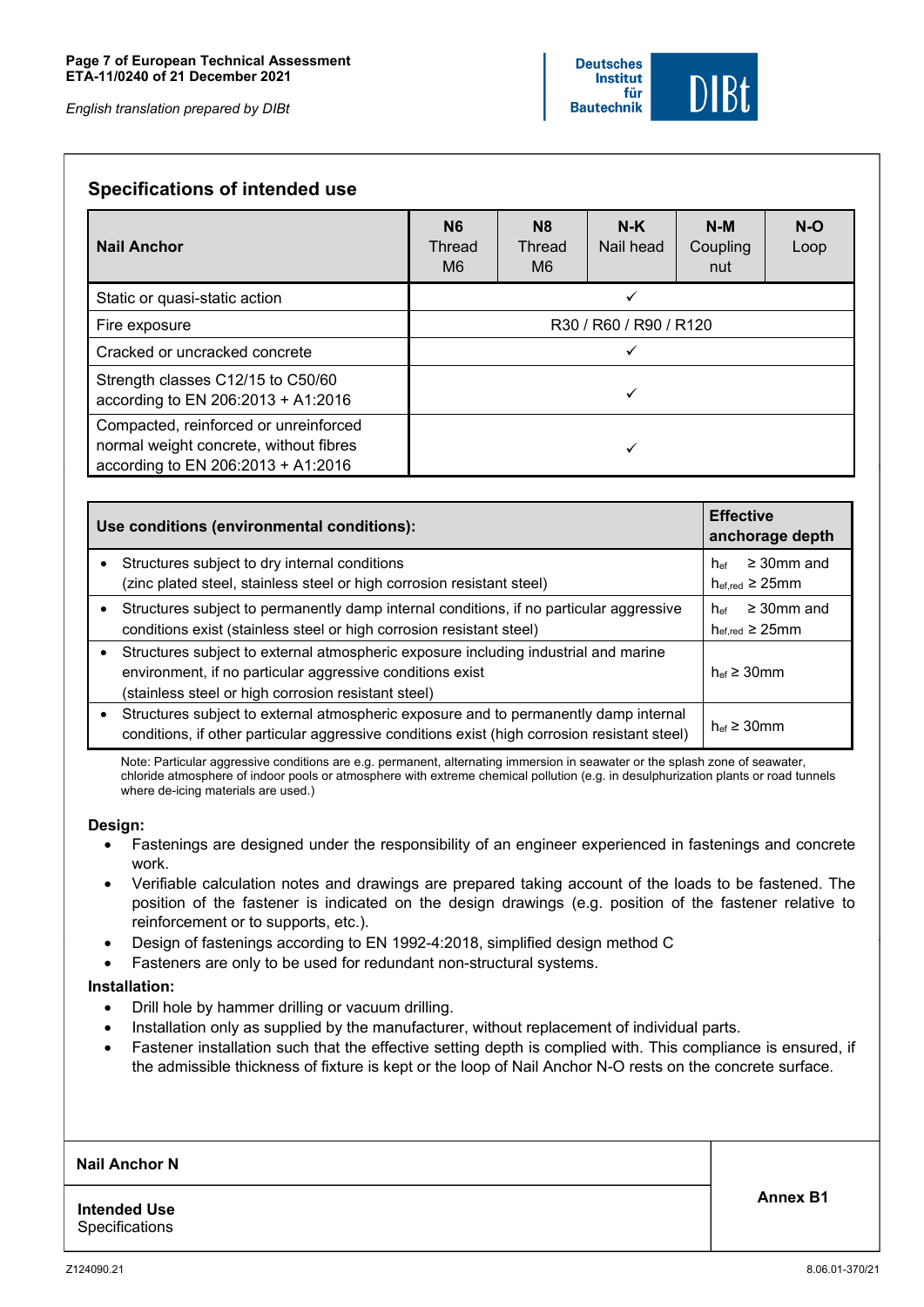### **Specifications of intended use**

| <b>Nail Anchor</b>                                                                                                    | <b>N6</b><br>Thread<br>M6 | N <sub>8</sub><br>Thread<br>M6 | $N-K$<br>Nail head | $N-M$<br>Coupling<br>nut | $N-O$<br>Loop |  |  |
|-----------------------------------------------------------------------------------------------------------------------|---------------------------|--------------------------------|--------------------|--------------------------|---------------|--|--|
| Static or quasi-static action                                                                                         | ✓                         |                                |                    |                          |               |  |  |
| Fire exposure                                                                                                         | R30 / R60 / R90 / R120    |                                |                    |                          |               |  |  |
| Cracked or uncracked concrete                                                                                         |                           |                                |                    |                          |               |  |  |
| Strength classes C12/15 to C50/60<br>according to EN 206:2013 + A1:2016                                               |                           |                                |                    |                          |               |  |  |
| Compacted, reinforced or unreinforced<br>normal weight concrete, without fibres<br>according to EN 206:2013 + A1:2016 |                           |                                |                    |                          |               |  |  |

|           | Use conditions (environmental conditions):                                                                                                                                                              | <b>Effective</b><br>anchorage depth                              |  |  |
|-----------|---------------------------------------------------------------------------------------------------------------------------------------------------------------------------------------------------------|------------------------------------------------------------------|--|--|
| $\bullet$ | Structures subject to dry internal conditions<br>(zinc plated steel, stainless steel or high corrosion resistant steel)                                                                                 | $\geq$ 30mm and<br>hef<br>$h_{\text{eff,red}} \geq 25$ mm        |  |  |
| $\bullet$ | Structures subject to permanently damp internal conditions, if no particular aggressive<br>conditions exist (stainless steel or high corrosion resistant steel)                                         | $\geq$ 30mm and<br>hef<br>$h_{\text{eff.red}} \geq 25 \text{mm}$ |  |  |
| $\bullet$ | Structures subject to external atmospheric exposure including industrial and marine<br>environment, if no particular aggressive conditions exist<br>(stainless steel or high corrosion resistant steel) | $h_{\text{ef}} \geq 30$ mm                                       |  |  |
| $\bullet$ | Structures subject to external atmospheric exposure and to permanently damp internal<br>conditions, if other particular aggressive conditions exist (high corrosion resistant steel)                    | $h_{\text{ef}} \geq 30$ mm                                       |  |  |

Note: Particular aggressive conditions are e.g. permanent, alternating immersion in seawater or the splash zone of seawater, chloride atmosphere of indoor pools or atmosphere with extreme chemical pollution (e.g. in desulphurization plants or road tunnels where de-icing materials are used.)

#### **Design:**

- Fastenings are designed under the responsibility of an engineer experienced in fastenings and concrete work.
- Verifiable calculation notes and drawings are prepared taking account of the loads to be fastened. The position of the fastener is indicated on the design drawings (e.g. position of the fastener relative to reinforcement or to supports, etc.).
- Design of fastenings according to EN 1992-4:2018, simplified design method C
- Fasteners are only to be used for redundant non-structural systems.

#### **Installation:**

- Drill hole by hammer drilling or vacuum drilling.
- Installation only as supplied by the manufacturer, without replacement of individual parts.
- Fastener installation such that the effective setting depth is complied with. This compliance is ensured, if the admissible thickness of fixture is kept or the loop of Nail Anchor N-O rests on the concrete surface.

#### **Nail Anchor N**

**Intended Use Specifications** 

**Annex B1**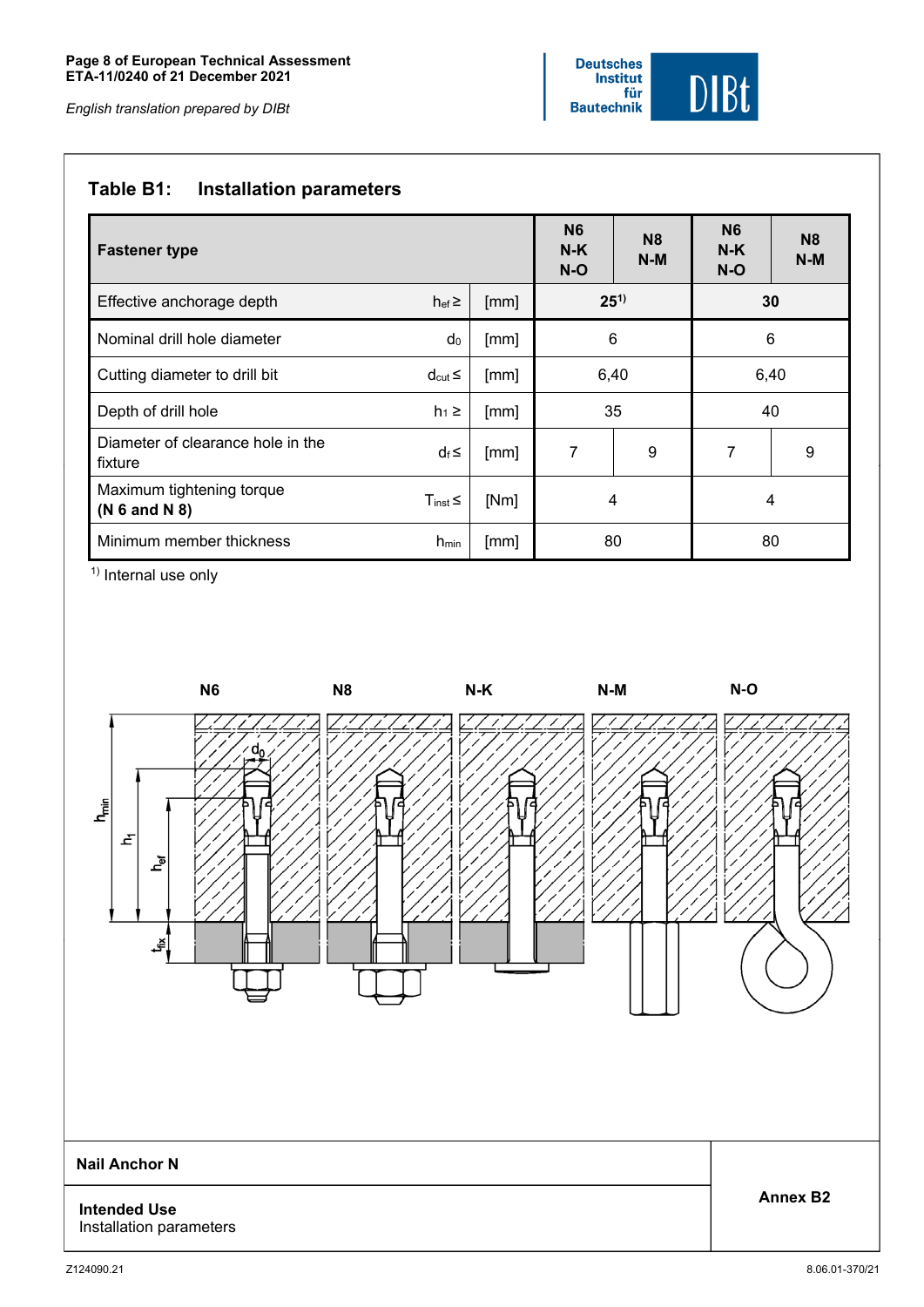## **Table B1: Installation parameters**

| <b>Fastener type</b>                         | N <sub>6</sub><br>$N-K$<br>$N-O$ | <b>N8</b><br>$N-M$ | <b>N6</b><br>$N-K$<br>$N-O$ | <b>N8</b><br>$N-M$ |   |   |
|----------------------------------------------|----------------------------------|--------------------|-----------------------------|--------------------|---|---|
| Effective anchorage depth                    | $hef \ge$                        | [mm]               | $25^{1}$                    | 30                 |   |   |
| Nominal drill hole diameter                  | $d_0$                            | [mm]               | 6<br>6                      |                    |   |   |
| Cutting diameter to drill bit                | $d_{\text{cut}} \leq$            | [mm]               | 6,40<br>6,40                |                    |   |   |
| Depth of drill hole                          | $h_1 \geq$                       | [mm]               | 35<br>40                    |                    |   |   |
| Diameter of clearance hole in the<br>fixture | $d_f \leq$                       | [mm]               | 7<br>9                      |                    | 7 | 9 |
| Maximum tightening torque<br>(N 6 and N 8)   | $T_{inst}$                       | [Nm]               | 4<br>4                      |                    |   |   |
| Minimum member thickness                     | $h_{min}$                        | [mm]               | 80<br>80                    |                    |   |   |

<sup>1)</sup> Internal use only

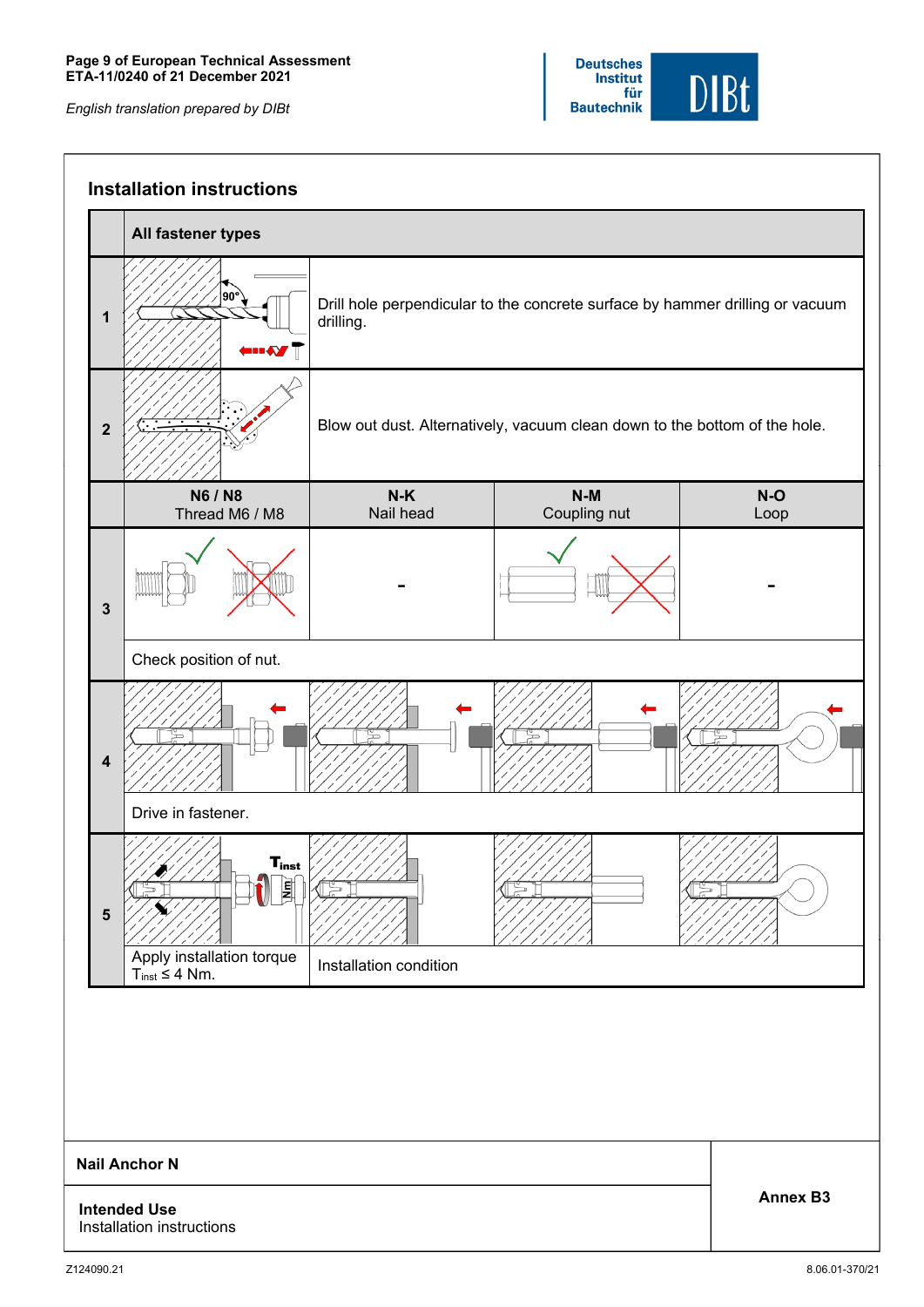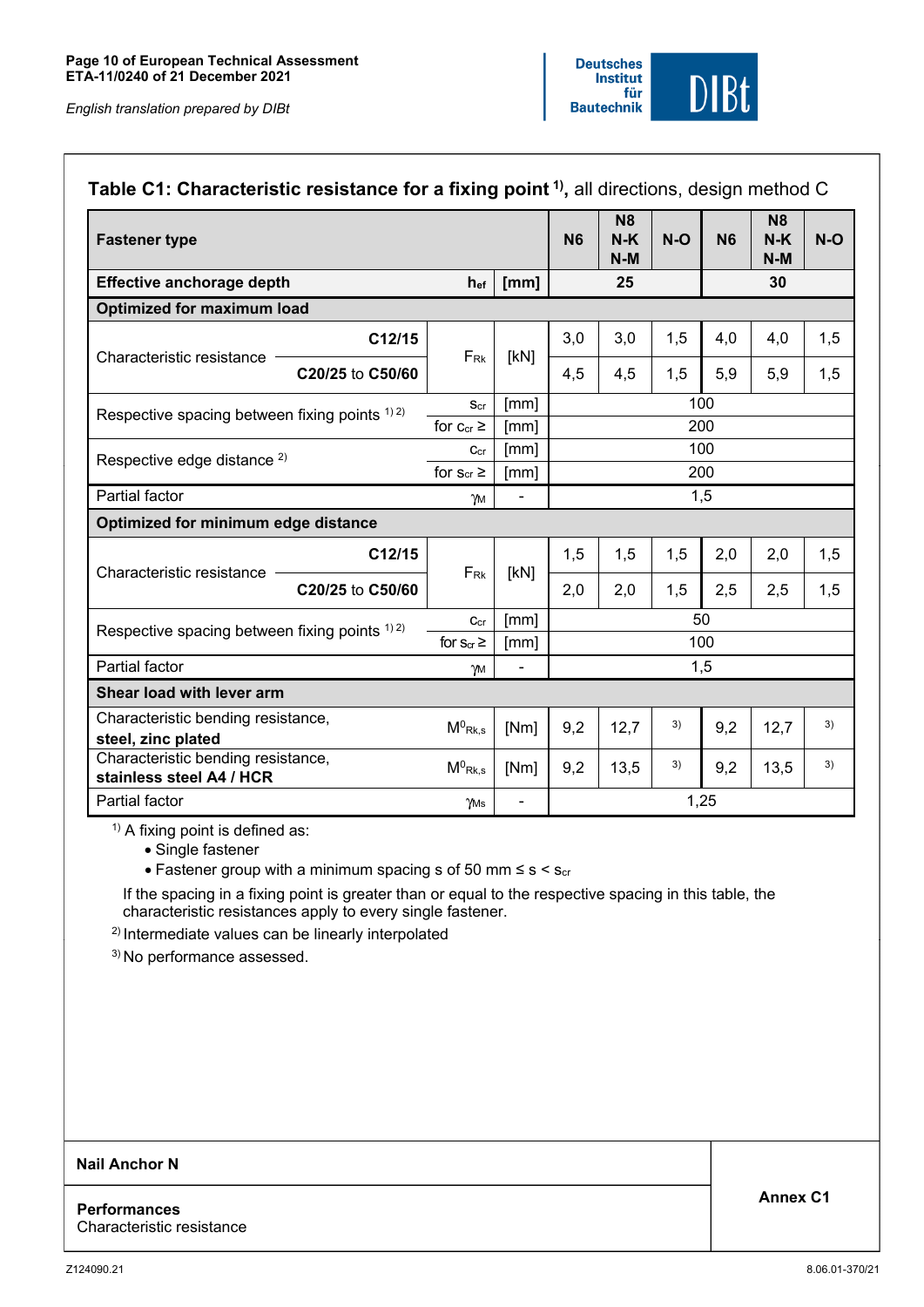|                                                          |                          |                |           | N <sub>8</sub> |       |           | N <sub>8</sub> |       |
|----------------------------------------------------------|--------------------------|----------------|-----------|----------------|-------|-----------|----------------|-------|
| <b>Fastener type</b>                                     |                          |                | <b>N6</b> | $N-K$<br>$N-M$ | $N-O$ | <b>N6</b> | $N-K$<br>$N-M$ | $N-O$ |
| Effective anchorage depth                                | hef                      | [mm]           | 25        |                |       | 30        |                |       |
| <b>Optimized for maximum load</b>                        |                          |                |           |                |       |           |                |       |
| C12/15                                                   |                          | [kN]           | 3,0       | 3,0            | 1,5   | 4,0       | 4,0            | 1,5   |
| Characteristic resistance<br>C20/25 to C50/60            | $F_{\rm Rk}$             |                | 4,5       | 4,5            | 1,5   | 5,9       | 5,9            | 1,5   |
|                                                          | Scr                      | [mm]           |           |                |       | 100       |                |       |
| Respective spacing between fixing points $(1)$ 2)        | for $c_{cr} \ge$         | [mm]           | 200       |                |       |           |                |       |
| Respective edge distance <sup>2)</sup>                   | $C_{cr}$                 | [mm]           | 100       |                |       |           |                |       |
|                                                          | for $s_{cr} \geq$        | [mm]           | 200       |                |       |           |                |       |
| Partial factor                                           | γм                       | $\blacksquare$ | 1,5       |                |       |           |                |       |
| Optimized for minimum edge distance                      |                          |                |           |                |       |           |                |       |
| C12/15                                                   |                          | [kN]           | 1,5       | 1,5            | 1,5   | 2,0       | 2,0            | 1,5   |
| Characteristic resistance<br>C20/25 to C50/60            | FRK                      |                | 2,0       | 2,0            | 1,5   | 2,5       | 2,5            | 1,5   |
|                                                          | C <sub>cr</sub>          | [mm]           | 50        |                |       |           |                |       |
| Respective spacing between fixing points $^{1/2}$        | for $s_{cr} \geq$        | [mm]           | 100       |                |       |           |                |       |
| Partial factor                                           | $\overline{\phantom{a}}$ |                |           |                | 1,5   |           |                |       |
| Shear load with lever arm                                |                          |                |           |                |       |           |                |       |
| Characteristic bending resistance,<br>steel, zinc plated | $M^0$ Rk,s               | [Nm]           | 9,2       | 12,7           | 3)    | 9,2       | 12,7           | 3)    |
| Characteristic bending resistance,                       | $M^0$ <sub>Rk,s</sub>    | [Nm]           | 9,2       | 13,5           | 3)    | 9,2       | 13,5           | 3)    |
| stainless steel A4 / HCR                                 |                          |                |           |                |       |           |                |       |

 $1)$  A fixing point is defined as:

• Single fastener

• Fastener group with a minimum spacing s of 50 mm  $\leq s \leq s_{cr}$ 

If the spacing in a fixing point is greater than or equal to the respective spacing in this table, the characteristic resistances apply to every single fastener.

2) Intermediate values can be linearly interpolated

3) No performance assessed.

#### **Nail Anchor N**

**Performances**  Characteristic resistance